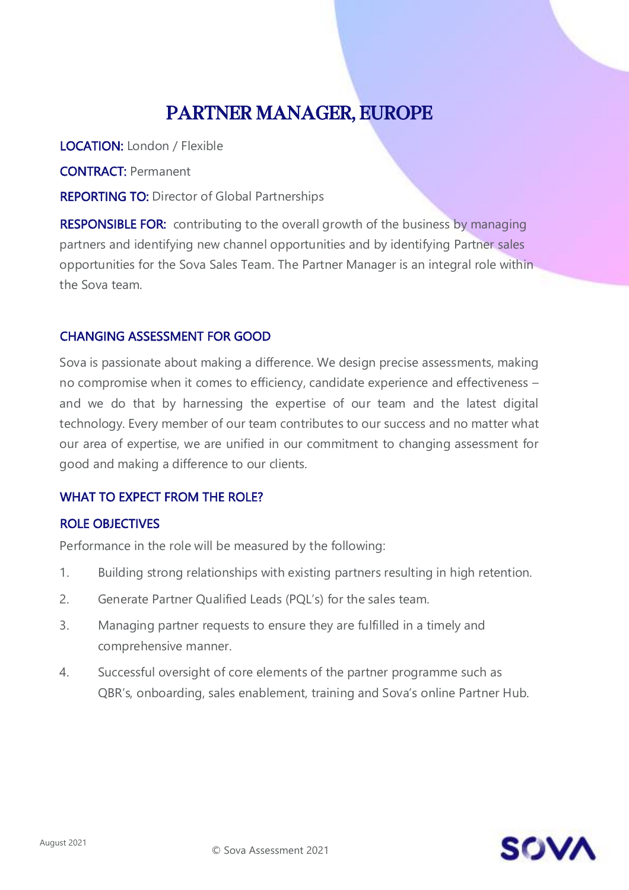# PARTNER MANAGER, EUROPE

LOCATION: London / Flexible

CONTRACT: Permanent

REPORTING TO: Director of Global Partnerships

**RESPONSIBLE FOR:** contributing to the overall growth of the business by managing partners and identifying new channel opportunities and by identifying Partner sales opportunities for the Sova Sales Team. The Partner Manager is an integral role within the Sova team.

### CHANGING ASSESSMENT FOR GOOD

Sova is passionate about making a difference. We design precise assessments, making no compromise when it comes to efficiency, candidate experience and effectiveness – and we do that by harnessing the expertise of our team and the latest digital technology. Every member of our team contributes to our success and no matter what our area of expertise, we are unified in our commitment to changing assessment for good and making a difference to our clients.

## WHAT TO EXPECT FROM THE ROLE?

#### ROLE OBJECTIVES

Performance in the role will be measured by the following:

- 1. Building strong relationships with existing partners resulting in high retention.
- 2. Generate Partner Qualified Leads (PQL's) for the sales team.
- 3. Managing partner requests to ensure they are fulfilled in a timely and comprehensive manner.
- 4. Successful oversight of core elements of the partner programme such as QBR's, onboarding, sales enablement, training and Sova's online Partner Hub.

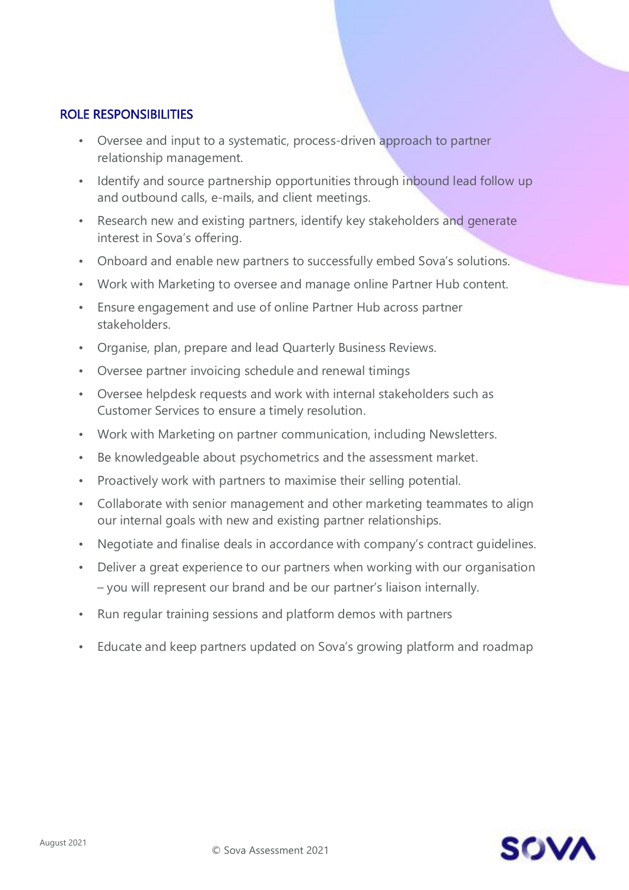#### ROLE RESPONSIBILITIES

- Oversee and input to a systematic, process-driven approach to partner relationship management.
- Identify and source partnership opportunities through inbound lead follow up and outbound calls, e-mails, and client meetings.
- Research new and existing partners, identify key stakeholders and generate interest in Sova's offering.
- Onboard and enable new partners to successfully embed Sova's solutions.
- Work with Marketing to oversee and manage online Partner Hub content.
- Ensure engagement and use of online Partner Hub across partner stakeholders.
- Organise, plan, prepare and lead Quarterly Business Reviews.
- Oversee partner invoicing schedule and renewal timings
- Oversee helpdesk requests and work with internal stakeholders such as Customer Services to ensure a timely resolution.
- Work with Marketing on partner communication, including Newsletters.
- Be knowledgeable about psychometrics and the assessment market.
- Proactively work with partners to maximise their selling potential.
- Collaborate with senior management and other marketing teammates to align our internal goals with new and existing partner relationships.
- Negotiate and finalise deals in accordance with company's contract guidelines.
- Deliver a great experience to our partners when working with our organisation – you will represent our brand and be our partner's liaison internally.
- Run regular training sessions and platform demos with partners
- Educate and keep partners updated on Sova's growing platform and roadmap

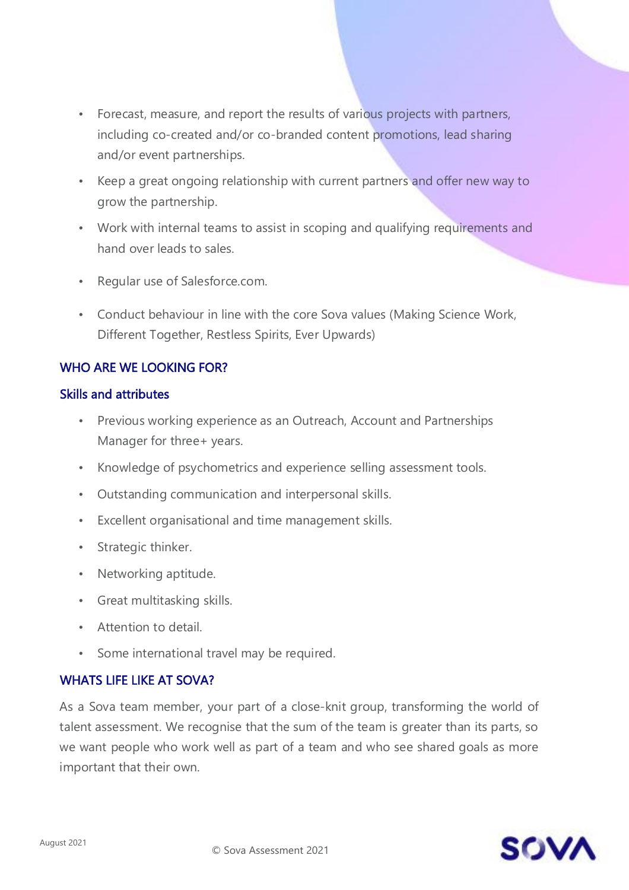- Forecast, measure, and report the results of various projects with partners, including co-created and/or co-branded content promotions, lead sharing and/or event partnerships.
- Keep a great ongoing relationship with current partners and offer new way to grow the partnership.
- Work with internal teams to assist in scoping and qualifying requirements and hand over leads to sales.
- Regular use of Salesforce.com.
- Conduct behaviour in line with the core Sova values (Making Science Work, Different Together, Restless Spirits, Ever Upwards)

## WHO ARE WE LOOKING FOR?

#### Skills and attributes

- Previous working experience as an Outreach, Account and Partnerships Manager for three+ years.
- Knowledge of psychometrics and experience selling assessment tools.
- Outstanding communication and interpersonal skills.
- Excellent organisational and time management skills.
- Strategic thinker.
- Networking aptitude.
- Great multitasking skills.
- Attention to detail.
- Some international travel may be required.

#### WHATS LIFE LIKE AT SOVA?

As a Sova team member, your part of a close-knit group, transforming the world of talent assessment. We recognise that the sum of the team is greater than its parts, so we want people who work well as part of a team and who see shared goals as more important that their own.